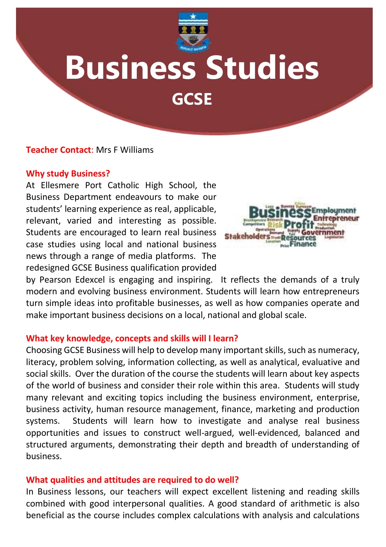

# **Business Studies**

**GCSE**

## **Teacher Contact**: Mrs F Williams

#### **Why study Business?**

At Ellesmere Port Catholic High School, the Business Department endeavours to make our students' learning experience as real, applicable, relevant, varied and interesting as possible. Students are encouraged to learn real business case studies using local and national business news through a range of media platforms. The redesigned GCSE Business qualification provided



by Pearson Edexcel is engaging and inspiring. It reflects the demands of a truly modern and evolving business environment. Students will learn how entrepreneurs turn simple ideas into profitable businesses, as well as how companies operate and make important business decisions on a local, national and global scale.

#### **What key knowledge, concepts and skills will I learn?**

Choosing GCSE Business will help to develop many important skills, such as numeracy, literacy, problem solving, information collecting, as well as analytical, evaluative and social skills. Over the duration of the course the students will learn about key aspects of the world of business and consider their role within this area. Students will study many relevant and exciting topics including the business environment, enterprise, business activity, human resource management, finance, marketing and production systems. Students will learn how to investigate and analyse real business opportunities and issues to construct well-argued, well-evidenced, balanced and structured arguments, demonstrating their depth and breadth of understanding of business.

#### **What qualities and attitudes are required to do well?**

In Business lessons, our teachers will expect excellent listening and reading skills combined with good interpersonal qualities. A good standard of arithmetic is also beneficial as the course includes complex calculations with analysis and calculations